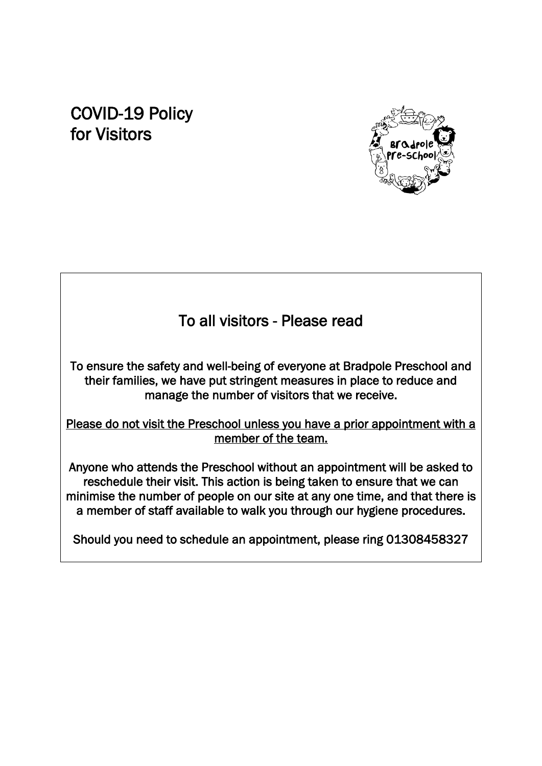# COVID-19 Policy for Visitors





To ensure the safety and well-being of everyone at Bradpole Preschool and their families, we have put stringent measures in place to reduce and manage the number of visitors that we receive.

Please do not visit the Preschool unless you have a prior appointment with a member of the team.

Anyone who attends the Preschool without an appointment will be asked to reschedule their visit. This action is being taken to ensure that we can minimise the number of people on our site at any one time, and that there is a member of staff available to walk you through our hygiene procedures.

Should you need to schedule an appointment, please ring 01308458327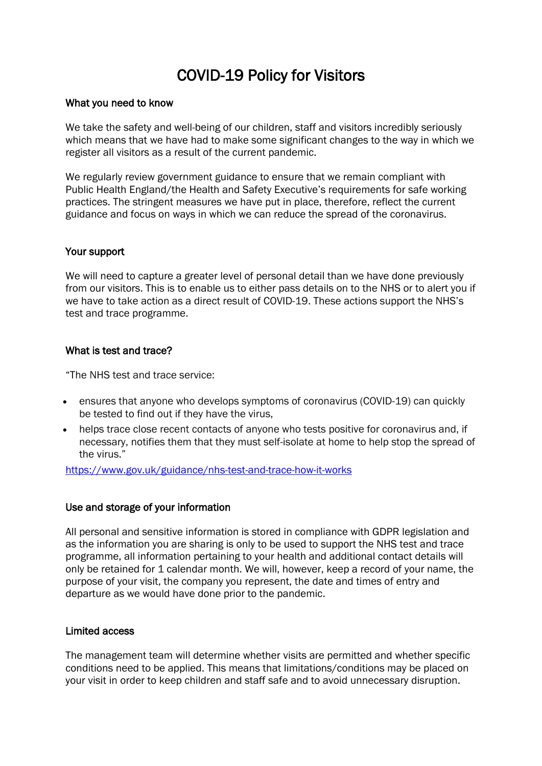## COVID-19 Policy for Visitors

#### What you need to know

We take the safety and well-being of our children, staff and visitors incredibly seriously which means that we have had to make some significant changes to the way in which we register all visitors as a result of the current pandemic.

We regularly review government guidance to ensure that we remain compliant with Public Health England/the Health and Safety Executive's requirements for safe working practices. The stringent measures we have put in place, therefore, reflect the current guidance and focus on ways in which we can reduce the spread of the coronavirus.

#### Your support

We will need to capture a greater level of personal detail than we have done previously from our visitors. This is to enable us to either pass details on to the NHS or to alert you if we have to take action as a direct result of COVID-19. These actions support the NHS's test and trace programme.

#### What is test and trace?

"The NHS test and trace service:

- ensures that anyone who develops symptoms of coronavirus (COVID-19) can quickly be tested to find out if they have the virus,
- helps trace close recent contacts of anyone who tests positive for coronavirus and, if necessary, notifies them that they must self-isolate at home to help stop the spread of the virus."

<https://www.gov.uk/guidance/nhs-test-and-trace-how-it-works>

#### Use and storage of your information

All personal and sensitive information is stored in compliance with GDPR legislation and as the information you are sharing is only to be used to support the NHS test and trace programme, all information pertaining to your health and additional contact details will only be retained for 1 calendar month. We will, however, keep a record of your name, the purpose of your visit, the company you represent, the date and times of entry and departure as we would have done prior to the pandemic.

#### Limited access

The management team will determine whether visits are permitted and whether specific conditions need to be applied. This means that limitations/conditions may be placed on your visit in order to keep children and staff safe and to avoid unnecessary disruption.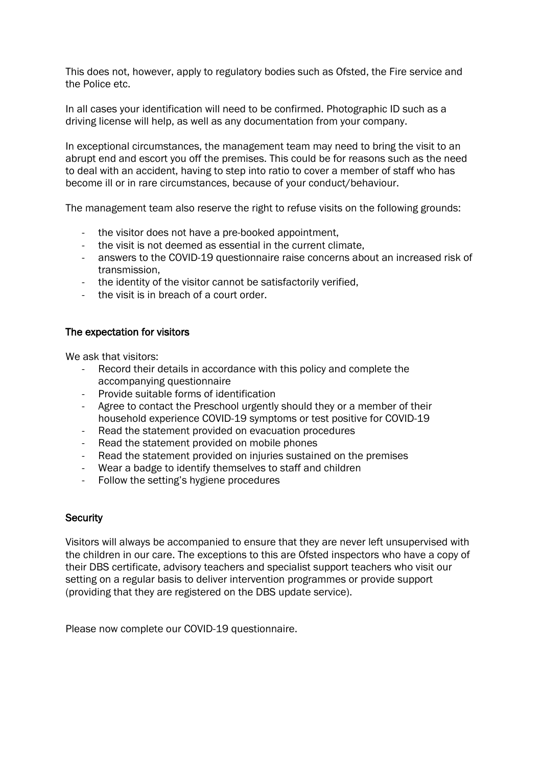This does not, however, apply to regulatory bodies such as Ofsted, the Fire service and the Police etc.

In all cases your identification will need to be confirmed. Photographic ID such as a driving license will help, as well as any documentation from your company.

In exceptional circumstances, the management team may need to bring the visit to an abrupt end and escort you off the premises. This could be for reasons such as the need to deal with an accident, having to step into ratio to cover a member of staff who has become ill or in rare circumstances, because of your conduct/behaviour.

The management team also reserve the right to refuse visits on the following grounds:

- the visitor does not have a pre-booked appointment,
- the visit is not deemed as essential in the current climate,
- answers to the COVID-19 questionnaire raise concerns about an increased risk of transmission,
- the identity of the visitor cannot be satisfactorily verified,
- the visit is in breach of a court order.

#### The expectation for visitors

We ask that visitors:

- Record their details in accordance with this policy and complete the accompanying questionnaire
- Provide suitable forms of identification
- Agree to contact the Preschool urgently should they or a member of their household experience COVID-19 symptoms or test positive for COVID-19
- Read the statement provided on evacuation procedures
- Read the statement provided on mobile phones
- Read the statement provided on injuries sustained on the premises
- Wear a badge to identify themselves to staff and children
- Follow the setting's hygiene procedures

#### **Security**

Visitors will always be accompanied to ensure that they are never left unsupervised with the children in our care. The exceptions to this are Ofsted inspectors who have a copy of their DBS certificate, advisory teachers and specialist support teachers who visit our setting on a regular basis to deliver intervention programmes or provide support (providing that they are registered on the DBS update service).

Please now complete our COVID-19 questionnaire.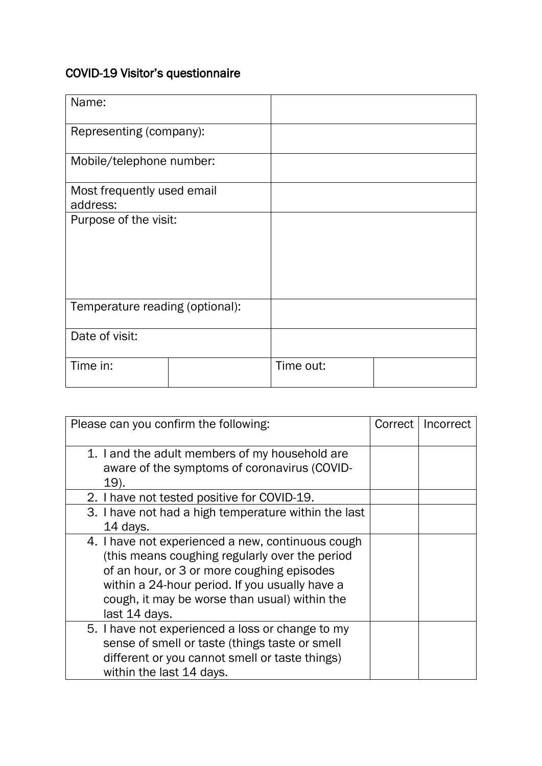### COVID-19 Visitor's questionnaire

| Name:                                  |  |           |  |
|----------------------------------------|--|-----------|--|
| Representing (company):                |  |           |  |
| Mobile/telephone number:               |  |           |  |
| Most frequently used email<br>address: |  |           |  |
| Purpose of the visit:                  |  |           |  |
| Temperature reading (optional):        |  |           |  |
| Date of visit:                         |  |           |  |
| Time in:                               |  | Time out: |  |

| Please can you confirm the following:                                                                                                                                                                                                                                 |  | Correct<br>Incorrect |
|-----------------------------------------------------------------------------------------------------------------------------------------------------------------------------------------------------------------------------------------------------------------------|--|----------------------|
| 1. I and the adult members of my household are<br>aware of the symptoms of coronavirus (COVID-                                                                                                                                                                        |  |                      |
| 19).                                                                                                                                                                                                                                                                  |  |                      |
| 2. I have not tested positive for COVID-19.                                                                                                                                                                                                                           |  |                      |
| 3. I have not had a high temperature within the last<br>14 days.                                                                                                                                                                                                      |  |                      |
| 4. I have not experienced a new, continuous cough<br>(this means coughing regularly over the period<br>of an hour, or 3 or more coughing episodes<br>within a 24-hour period. If you usually have a<br>cough, it may be worse than usual) within the<br>last 14 days. |  |                      |
| 5. I have not experienced a loss or change to my<br>sense of smell or taste (things taste or smell<br>different or you cannot smell or taste things)<br>within the last 14 days.                                                                                      |  |                      |